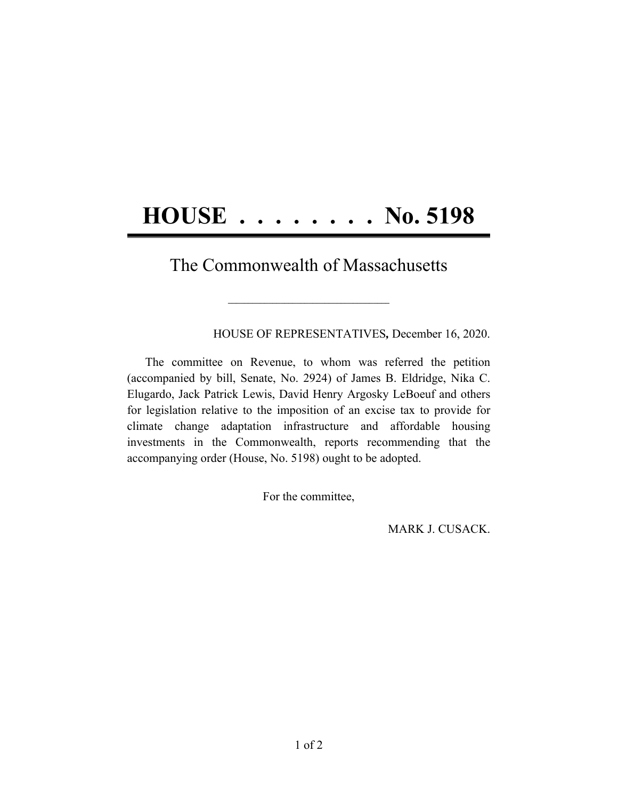## **HOUSE . . . . . . . . No. 5198**

## The Commonwealth of Massachusetts

 $\mathcal{L}=\{1,2,3,4,5\}$ 

HOUSE OF REPRESENTATIVES*,* December 16, 2020.

The committee on Revenue, to whom was referred the petition (accompanied by bill, Senate, No. 2924) of James B. Eldridge, Nika C. Elugardo, Jack Patrick Lewis, David Henry Argosky LeBoeuf and others for legislation relative to the imposition of an excise tax to provide for climate change adaptation infrastructure and affordable housing investments in the Commonwealth, reports recommending that the accompanying order (House, No. 5198) ought to be adopted.

For the committee,

MARK J. CUSACK.